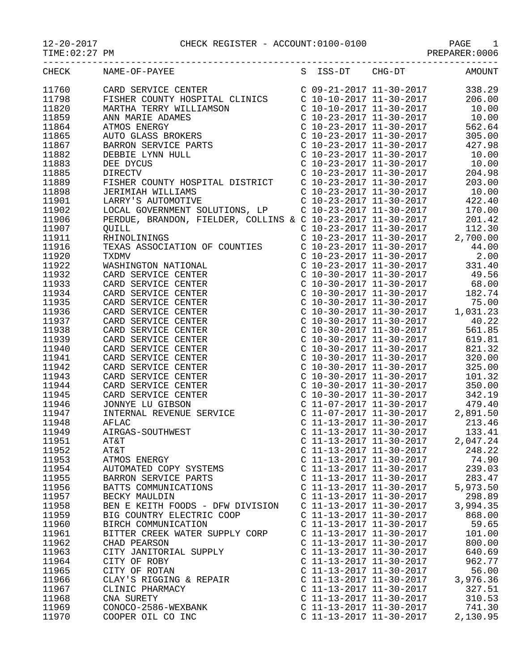## 12-20-2017 CHECK REGISTER - ACCOUNT:0100-0100 PAGE 1

PREPARER:0006

|       | CHECK NAME-OF-PAYEE                                                                                                                                                                                                                                                                                                                                                   |                           | S ISS-DT CHG-DT AMOUNT                                                                                                            |
|-------|-----------------------------------------------------------------------------------------------------------------------------------------------------------------------------------------------------------------------------------------------------------------------------------------------------------------------------------------------------------------------|---------------------------|-----------------------------------------------------------------------------------------------------------------------------------|
| 11760 |                                                                                                                                                                                                                                                                                                                                                                       |                           |                                                                                                                                   |
| 11798 |                                                                                                                                                                                                                                                                                                                                                                       |                           |                                                                                                                                   |
| 11820 |                                                                                                                                                                                                                                                                                                                                                                       |                           |                                                                                                                                   |
| 11859 |                                                                                                                                                                                                                                                                                                                                                                       |                           |                                                                                                                                   |
| 11864 |                                                                                                                                                                                                                                                                                                                                                                       |                           |                                                                                                                                   |
| 11865 |                                                                                                                                                                                                                                                                                                                                                                       |                           |                                                                                                                                   |
| 11867 |                                                                                                                                                                                                                                                                                                                                                                       |                           |                                                                                                                                   |
| 11882 |                                                                                                                                                                                                                                                                                                                                                                       |                           |                                                                                                                                   |
| 11883 |                                                                                                                                                                                                                                                                                                                                                                       |                           |                                                                                                                                   |
|       |                                                                                                                                                                                                                                                                                                                                                                       |                           |                                                                                                                                   |
| 11885 |                                                                                                                                                                                                                                                                                                                                                                       |                           |                                                                                                                                   |
| 11889 |                                                                                                                                                                                                                                                                                                                                                                       |                           |                                                                                                                                   |
| 11898 |                                                                                                                                                                                                                                                                                                                                                                       |                           |                                                                                                                                   |
| 11901 |                                                                                                                                                                                                                                                                                                                                                                       |                           |                                                                                                                                   |
| 11902 |                                                                                                                                                                                                                                                                                                                                                                       |                           |                                                                                                                                   |
| 11906 |                                                                                                                                                                                                                                                                                                                                                                       |                           |                                                                                                                                   |
| 11907 |                                                                                                                                                                                                                                                                                                                                                                       |                           |                                                                                                                                   |
| 11911 |                                                                                                                                                                                                                                                                                                                                                                       |                           |                                                                                                                                   |
| 11916 |                                                                                                                                                                                                                                                                                                                                                                       |                           |                                                                                                                                   |
| 11920 |                                                                                                                                                                                                                                                                                                                                                                       |                           |                                                                                                                                   |
| 11922 |                                                                                                                                                                                                                                                                                                                                                                       |                           |                                                                                                                                   |
| 11932 |                                                                                                                                                                                                                                                                                                                                                                       |                           |                                                                                                                                   |
| 11933 |                                                                                                                                                                                                                                                                                                                                                                       |                           |                                                                                                                                   |
| 11934 |                                                                                                                                                                                                                                                                                                                                                                       |                           |                                                                                                                                   |
| 11935 |                                                                                                                                                                                                                                                                                                                                                                       |                           |                                                                                                                                   |
| 11936 |                                                                                                                                                                                                                                                                                                                                                                       |                           |                                                                                                                                   |
| 11937 |                                                                                                                                                                                                                                                                                                                                                                       |                           |                                                                                                                                   |
| 11938 |                                                                                                                                                                                                                                                                                                                                                                       |                           |                                                                                                                                   |
| 11939 | $\begin{tabular}{l c c c c} \multicolumn{4}{c}{\textbf{PERDUE}, \textbf{ BRANDON, FIELDER, 'COLLINS & $\mathbf{c}$ 10-23-2017 11-30-2017 & 201.42\\ \multicolumn{4}{c}{\textbf{RHNLOLMINMS}} & $\mathbf{c}$ 10-23-2017 11-30-2017 & 12.30\\ \multicolumn{4}{c}{\textbf{RHNLOLMINMS}} & $\mathbf{c}$ 10-23-2017 11-30-2017 & 44.00\\ \multicolumn{4}{c}{\textbf{TRXAB$ |                           |                                                                                                                                   |
| 11940 |                                                                                                                                                                                                                                                                                                                                                                       |                           |                                                                                                                                   |
| 11941 |                                                                                                                                                                                                                                                                                                                                                                       |                           |                                                                                                                                   |
| 11942 |                                                                                                                                                                                                                                                                                                                                                                       |                           |                                                                                                                                   |
| 11943 |                                                                                                                                                                                                                                                                                                                                                                       |                           |                                                                                                                                   |
| 11944 |                                                                                                                                                                                                                                                                                                                                                                       |                           |                                                                                                                                   |
| 11945 |                                                                                                                                                                                                                                                                                                                                                                       |                           |                                                                                                                                   |
| 11946 |                                                                                                                                                                                                                                                                                                                                                                       |                           | C 11-07-2017 11-30-2017<br>C 11-07-2017 11-30-2017 2,891.50<br>C 11-13-2017 11-30-2017 2,891.50<br>C 11-13-2017 11-30-2017 133.41 |
| 11947 |                                                                                                                                                                                                                                                                                                                                                                       |                           |                                                                                                                                   |
| 11948 | INTERI<br>AFLAC<br>AIRGA:                                                                                                                                                                                                                                                                                                                                             |                           |                                                                                                                                   |
| 11949 | AIRGAS-SOUTHWEST                                                                                                                                                                                                                                                                                                                                                      |                           |                                                                                                                                   |
| 11951 | AT&T                                                                                                                                                                                                                                                                                                                                                                  | C 11-13-2017 11-30-2017   | 2,047.24                                                                                                                          |
| 11952 | AT&T                                                                                                                                                                                                                                                                                                                                                                  | C 11-13-2017 11-30-2017   | 248.22                                                                                                                            |
| 11953 | ATMOS ENERGY                                                                                                                                                                                                                                                                                                                                                          | C 11-13-2017 11-30-2017   | 74.90                                                                                                                             |
| 11954 | AUTOMATED COPY SYSTEMS                                                                                                                                                                                                                                                                                                                                                | C 11-13-2017 11-30-2017   | 239.03                                                                                                                            |
| 11955 | BARRON SERVICE PARTS                                                                                                                                                                                                                                                                                                                                                  | C 11-13-2017 11-30-2017   | 283.47                                                                                                                            |
| 11956 | BATTS COMMUNICATIONS                                                                                                                                                                                                                                                                                                                                                  | $C$ 11-13-2017 11-30-2017 | 5,973.50                                                                                                                          |
| 11957 | BECKY MAULDIN                                                                                                                                                                                                                                                                                                                                                         | $C$ 11-13-2017 11-30-2017 | 298.89                                                                                                                            |
| 11958 | BEN E KEITH FOODS - DFW DIVISION                                                                                                                                                                                                                                                                                                                                      | C 11-13-2017 11-30-2017   | 3,994.35                                                                                                                          |
| 11959 | BIG COUNTRY ELECTRIC COOP                                                                                                                                                                                                                                                                                                                                             | C 11-13-2017 11-30-2017   | 868.00                                                                                                                            |
| 11960 | BIRCH COMMUNICATION                                                                                                                                                                                                                                                                                                                                                   | C 11-13-2017 11-30-2017   | 59.65                                                                                                                             |
| 11961 | BITTER CREEK WATER SUPPLY CORP                                                                                                                                                                                                                                                                                                                                        | C 11-13-2017 11-30-2017   | 101.00                                                                                                                            |
| 11962 | CHAD PEARSON                                                                                                                                                                                                                                                                                                                                                          | C 11-13-2017 11-30-2017   | 800.00                                                                                                                            |
| 11963 | CITY JANITORIAL SUPPLY                                                                                                                                                                                                                                                                                                                                                | $C$ 11-13-2017 11-30-2017 | 640.69                                                                                                                            |
|       |                                                                                                                                                                                                                                                                                                                                                                       |                           |                                                                                                                                   |
| 11964 | CITY OF ROBY                                                                                                                                                                                                                                                                                                                                                          | C 11-13-2017 11-30-2017   | 962.77                                                                                                                            |
| 11965 | CITY OF ROTAN                                                                                                                                                                                                                                                                                                                                                         | C 11-13-2017 11-30-2017   | 56.00                                                                                                                             |
| 11966 | CLAY'S RIGGING & REPAIR                                                                                                                                                                                                                                                                                                                                               | C 11-13-2017 11-30-2017   | 3,976.36                                                                                                                          |
| 11967 | CLINIC PHARMACY                                                                                                                                                                                                                                                                                                                                                       | $C$ 11-13-2017 11-30-2017 | 327.51                                                                                                                            |
| 11968 | CNA SURETY                                                                                                                                                                                                                                                                                                                                                            | $C$ 11-13-2017 11-30-2017 | 310.53                                                                                                                            |
| 11969 | CONOCO-2586-WEXBANK                                                                                                                                                                                                                                                                                                                                                   | C 11-13-2017 11-30-2017   | 741.30                                                                                                                            |
| 11970 | COOPER OIL CO INC                                                                                                                                                                                                                                                                                                                                                     | C 11-13-2017 11-30-2017   | 2,130.95                                                                                                                          |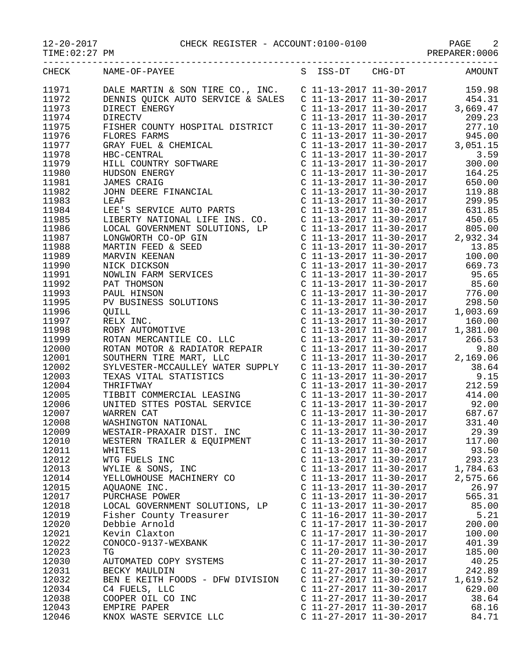$TIME:02:27 PM$ 

|       | CHECK NAME-OF-PAYEE<br>S ISS-DT CHG-DT AMOUNT |                           |                             |          |
|-------|-----------------------------------------------|---------------------------|-----------------------------|----------|
| 11971 |                                               |                           |                             |          |
| 11972 |                                               |                           |                             |          |
| 11973 |                                               |                           |                             |          |
| 11974 |                                               |                           |                             |          |
| 11975 |                                               |                           |                             |          |
| 11976 |                                               |                           |                             |          |
| 11977 |                                               |                           |                             |          |
| 11978 |                                               |                           |                             |          |
| 11979 |                                               |                           |                             |          |
| 11980 |                                               |                           |                             |          |
| 11981 |                                               |                           |                             | 650.00   |
| 11982 |                                               |                           |                             | 119.88   |
|       |                                               |                           |                             |          |
| 11983 |                                               |                           |                             |          |
| 11984 |                                               |                           |                             |          |
| 11985 |                                               |                           |                             |          |
| 11986 |                                               |                           |                             |          |
| 11987 |                                               |                           |                             |          |
| 11988 |                                               |                           |                             |          |
| 11989 |                                               |                           |                             |          |
| 11990 |                                               |                           |                             |          |
| 11991 |                                               |                           |                             |          |
| 11992 |                                               |                           |                             |          |
| 11993 |                                               |                           |                             |          |
| 11995 |                                               |                           |                             |          |
| 11996 |                                               |                           |                             |          |
| 11997 |                                               |                           |                             |          |
| 11998 |                                               |                           |                             |          |
| 11999 |                                               |                           |                             |          |
| 12000 |                                               |                           |                             |          |
| 12001 |                                               |                           |                             |          |
| 12002 |                                               |                           |                             |          |
| 12003 |                                               |                           |                             |          |
| 12004 |                                               |                           |                             |          |
| 12005 |                                               |                           |                             |          |
| 12006 |                                               |                           |                             |          |
|       |                                               |                           |                             |          |
| 12007 |                                               |                           |                             |          |
| 12008 |                                               |                           |                             |          |
| 12009 |                                               |                           |                             |          |
| 12010 | WESTERN TRAILER & EQUIPMENT                   |                           | $C$ 11-13-2017 11-30-2017   | 117.00   |
| 12011 | WHITES                                        |                           | $C$ 11-13-2017 11-30-2017   | 93.50    |
| 12012 | WTG FUELS INC                                 |                           | C 11-13-2017 11-30-2017     | 293.23   |
| 12013 | WYLIE & SONS, INC                             |                           | $C$ 11-13-2017 11-30-2017   | 1,784.63 |
| 12014 | YELLOWHOUSE MACHINERY CO                      |                           | C 11-13-2017 11-30-2017     | 2,575.66 |
| 12015 | AQUAONE INC.                                  | $C$ 11-13-2017 11-30-2017 |                             | 26.97    |
| 12017 | PURCHASE POWER                                |                           | C 11-13-2017 11-30-2017     | 565.31   |
| 12018 | LOCAL GOVERNMENT SOLUTIONS, LP                | C 11-13-2017 11-30-2017   |                             | 85.00    |
| 12019 | Fisher County Treasurer                       | C 11-16-2017 11-30-2017   |                             | 5.21     |
| 12020 | Debbie Arnold                                 |                           | C 11-17-2017 11-30-2017     | 200.00   |
| 12021 | Kevin Claxton                                 |                           | C 11-17-2017 11-30-2017     | 100.00   |
| 12022 | CONOCO-9137-WEXBANK                           |                           | C 11-17-2017 11-30-2017     | 401.39   |
| 12023 | TG                                            |                           | $C$ 11-20-2017 11-30-2017   | 185.00   |
| 12030 | AUTOMATED COPY SYSTEMS                        |                           | C 11-27-2017 11-30-2017     | 40.25    |
| 12031 | BECKY MAULDIN                                 |                           | $C$ 11-27-2017 11-30-2017   | 242.89   |
| 12032 | BEN E KEITH FOODS - DFW DIVISION              |                           | C $11-27-2017$ $11-30-2017$ | 1,619.52 |
| 12034 | C4 FUELS, LLC                                 | $C$ 11-27-2017 11-30-2017 |                             | 629.00   |
|       |                                               |                           |                             |          |
| 12038 | COOPER OIL CO INC                             |                           | $C$ 11-27-2017 11-30-2017   | 38.64    |
| 12043 | EMPIRE PAPER                                  |                           | $C$ 11-27-2017 11-30-2017   | 68.16    |
| 12046 | KNOX WASTE SERVICE LLC                        |                           | C 11-27-2017 11-30-2017     | 84.71    |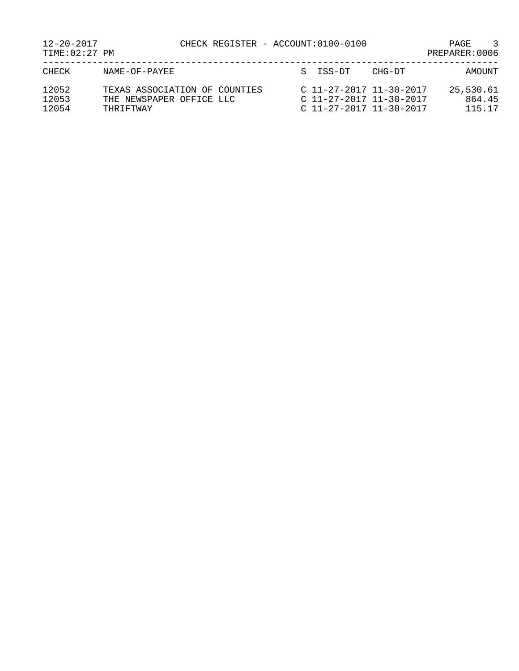| $12 - 20 - 2017$<br>TIME: 02:27 PM | CHECK REGISTER - ACCOUNT:0100-0100                                     |                                                                                   |        | 3<br>PAGE<br>PREPARER: 0006   |
|------------------------------------|------------------------------------------------------------------------|-----------------------------------------------------------------------------------|--------|-------------------------------|
| CHECK                              | NAME-OF-PAYEE                                                          | S TSS-DT                                                                          | CHG-DT | AMOUNT                        |
| 12052<br>12053<br>12054            | TEXAS ASSOCIATION OF COUNTIES<br>THE NEWSPAPER OFFICE LLC<br>THRIFTWAY | $C$ 11-27-2017 11-30-2017<br>$C$ 11-27-2017 11-30-2017<br>C 11-27-2017 11-30-2017 |        | 25,530.61<br>864.45<br>115.17 |